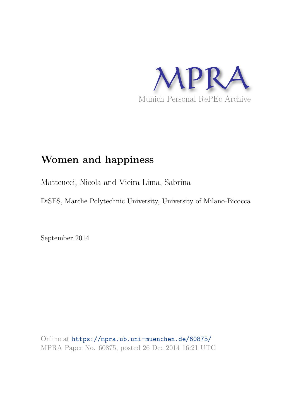

# **Women and happiness**

Matteucci, Nicola and Vieira Lima, Sabrina

DiSES, Marche Polytechnic University, University of Milano-Bicocca

September 2014

Online at https://mpra.ub.uni-muenchen.de/60875/ MPRA Paper No. 60875, posted 26 Dec 2014 16:21 UTC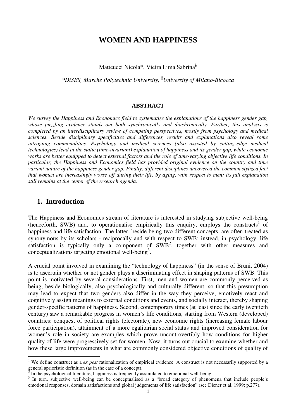# **WOMEN AND HAPPINESS**

Matteucci Nicola\*, Vieira Lima Sabrina§

*\*DiSES, Marche Polytechnic University,* §*University of Milano-Bicocca* 

#### **ABSTRACT**

*We survey the Happiness and Economics field to systematize the explanations of the happiness gender gap, whose puzzling evidence stands out both synchronically and diachronically. Further, this analysis is completed by an interdisciplinary review of competing perspectives, mostly from psychology and medical sciences. Beside disciplinary specificities and differences, results and explanations also reveal some intriguing commonalities. Psychology and medical sciences (also assisted by cutting-edge medical technologies) lead in the static (time-invariant) explanation of happiness and its gender gap, while economic works are better equipped to detect external factors and the role of time-varying objective life conditions. In particular, the Happiness and Economics field has provided original evidence on the country and time variant nature of the happiness gender gap. Finally, different disciplines uncovered the common stylized fact that women are increasingly worse off during their life, by aging, with respect to men: its full explanation still remains at the center of the research agenda.* 

### **1. Introduction**

 $\overline{a}$ 

The Happiness and Economics stream of literature is interested in studying subjective well-being (henceforth, SWB) and, to operationalise empirically this enquiry, employs the constructs<sup>1</sup> of happiness and life satisfaction. The latter, beside being two different concepts, are often treated as synonymous by its scholars - reciprocally and with respect to SWB; instead, in psychology, life satisfaction is typically only a component of  $SWB<sup>2</sup>$ , together with other measures and conceptualizations targeting emotional well-being<sup>3</sup>.

A crucial point involved in examining the "technology of happiness" (in the sense of Bruni, 2004) is to ascertain whether or not gender plays a discriminating effect in shaping patterns of SWB. This point is motivated by several considerations. First, men and women are commonly perceived as being, beside biologically, also psychologically and culturally different, so that this presumption may lead to expect that two genders also differ in the way they perceive, emotively react and cognitively assign meanings to external conditions and events, and socially interact, thereby shaping gender-specific patterns of happiness. Second, contemporary times (at least since the early twentieth century) saw a remarkable progress in women's life conditions, starting from Western (developed) countries: conquest of political rights (electorate), new economic rights (increasing female labour force participation), attainment of a more egalitarian social status and improved consideration for women's role in society are examples which prove uncontrovertibly how conditions for higher quality of life were progressively set for women. Now, it turns out crucial to examine whether and how these large improvements in what are commonly considered objective conditions of quality of

<sup>&</sup>lt;sup>1</sup> We define construct as a *ex post* rationalization of empirical evidence. A construct is not necessarily supported by a general aprioristic definition (as in the case of a concept).

 $\bar{2}$ In the psychological literature, happiness is frequently assimilated to emotional well-being.

<sup>&</sup>lt;sup>3</sup> In turn, subjective well-being can be conceptualised as a "broad category of phenomena that include people's emotional responses, domain satisfactions and global judgements of life satisfaction" (see Diener et al. 1999; p.277).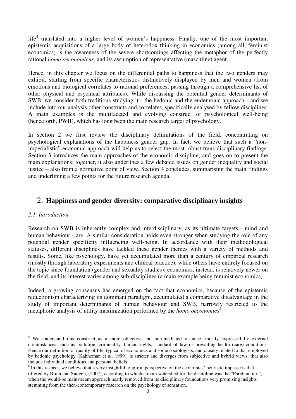$life<sup>4</sup>$  translated into a higher level of women's happiness. Finally, one of the most important epistemic acquisitions of a large body of heterodox thinking in economics (among all, feminist economics) is the awareness of the severe shortcomings affecting the metaphor of the perfectly rational *homo oeconomicus*, and its assumption of representative (masculine) agent.

Hence, in this chapter we focus on the differential paths to happiness that the two genders may exhibit, starting from specific characteristics distinctively displayed by men and women (from emotions and biological correlates to rational preferences, passing through a comprehensive list of other physical and psychical attributes). While discussing the potential gender determinants of SWB, we consider both traditions studying it - the hedonic and the eudemonic approach - and we include into our analysis other constructs and correlates, specifically analysed by fellow disciplines. A main examples is the multifaceted and evolving construct of psychological well-being (henceforth, PWB), which has long been the main research target of psychology.

In section 2 we first review the disciplinary delimitations of the field, concentrating on psychological explanations of the happiness gender gap. In fact, we believe that such a "nonimperialistic" economic approach will help us to select the most robust trans-disciplinary findings. Section 3 introduces the main approaches of the economic discipline, and goes on to present the main explanations; together, it also underlines a few debated issues on gender inequality and social justice – also from a normative point of view. Section 4 concludes, summarising the main findings and underlining a few points for the future research agenda.

# 2. **Happiness and gender diversity: comparative disciplinary insights**

### *2.1. Introduction*

l

Research on SWB is inherently complex and interdisciplinary, as its ultimate targets - mind and human behaviour - are. A similar consideration holds even stronger when studying the role of any potential gender specificity influencing well-being. In accordance with their methodological statuses, different disciplines have tackled these gender themes with a variety of methods and results. Some, like psychology, have yet accumulated more than a century of empirical research (mostly through laboratory experiments and clinical practice), while others have entirely focused on the topic since foundation (gender and sexuality studies); economics, instead, is relatively newer on the field, and its interest varies among sub-disciplines (a main example being feminist economics).

Indeed, a growing consensus has emerged on the fact that economics, because of the epistemic reductionism characterizing its dominant paradigm, accumulated a comparative disadvantage in the study of important determinants of human behaviour and SWB, narrowly restricted to the metaphoric analysis of utility maximization performed by the *homo oeconomics<sup>5</sup>* .

<sup>&</sup>lt;sup>4</sup> We understand this construct as a more objective and non-mediated instance, mostly expressed by external circumstances, such as pollution, criminality, human rights, standard of law or prevailing health (care) conditions. Hence our definition of quality of life, typical of economics and some sociologists, and closely related to that employed by hedonic psychology (Kahneman et al. 1999), is stricter and diverges from subjective and hybrid views, that also include individual conditions and personal beliefs.

<sup>&</sup>lt;sup>5</sup> In this respect, we believe that a very insightful long-run perspective on the economics' heuristic impasse is that offered by Bruni and Sudgen, (2007), according to which a main watershed for the discipline was the "Paretian turn", when the would-be mainstream approach neatly removed from its disciplinary foundations very promising insights stemming from the then-contemporary research on the psychology of sensation.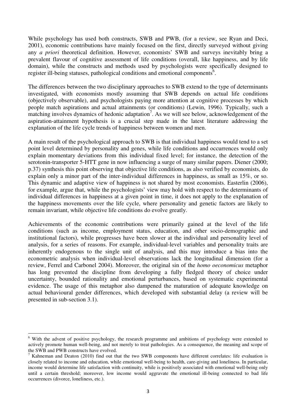While psychology has used both constructs, SWB and PWB, (for a review, see Ryan and Deci, 2001), economic contributions have mainly focused on the first, directly surveyed without giving any *a priori* theoretical definition. However, economists' SWB and surveys inevitably bring a prevalent flavour of cognitive assessment of life conditions (overall, like happiness, and by life domain), while the constructs and methods used by psychologists were specifically designed to register ill-being statuses, pathological conditions and emotional components<sup>6</sup>.

The differences between the two disciplinary approaches to SWB extend to the type of determinants investigated, with economists mostly assuming that SWB depends on actual life conditions (objectively observable), and psychologists paying more attention at cognitive processes by which people match aspirations and actual attainments (or conditions) (Lewin, 1996). Typically, such a matching involves dynamics of hedonic adaptation<sup>7</sup>. As we will see below, acknowledgement of the aspiration-attainment hypothesis is a crucial step made in the latest literature addressing the explanation of the life cycle trends of happiness between women and men.

A main result of the psychological approach to SWB is that individual happiness would tend to a set point level determined by personality and genes, while life conditions and occurrences would only explain momentary deviations from this individual fixed level; for instance, the detection of the serotonin-transporter 5-HTT gene in now influencing a surge of many similar papers. Diener (2000; p.37) synthesis this point observing that objective life conditions, as also verified by economists, do explain only a minor part of the inter-individual differences in happiness, as small as 15%, or so. This dynamic and adaptive view of happiness is not shared by most economists. Easterlin (2006), for example, argue that, while the psychologists' view may hold with respect to the determinants of individual differences in happiness at a given point in time, it does not apply to the explanation of the happiness movements over the life cycle, where personality and genetic factors are likely to remain invariant, while objective life conditions do evolve greatly.

Achievements of the economic contributions were primarily gained at the level of the life conditions (such as income, employment status, education, and other socio-demographic and institutional factors), while progresses have been slower at the individual and personality level of analysis, for a series of reasons. For example, individual-level variables and personality traits are inherently endogenous to the single unit of analysis, and this may introduce a bias into the econometric analysis when individual-level observations lack the longitudinal dimension (for a review, Ferrel and Carbonel 2004). Moreover, the original sin of the *homo oeconomicus* metaphor has long prevented the discipline from developing a fully fledged theory of choice under uncertainty, bounded rationality and emotional perturbances, based on systematic experimental evidence. The usage of this metaphor also dampened the maturation of adequate knowledge on actual behavioural gender differences, which developed with substantial delay (a review will be presented in sub-section 3.1).

<sup>&</sup>lt;sup>6</sup> With the advent of positive psychology, the research programme and ambitions of psychology were extended to actively promote human well-being, and not merely to treat pathologies. As a consequence, the meaning and scope of the SWB and PWB constructs have evolved.

<sup>&</sup>lt;sup>7</sup> Kahneman and Deaton (2010) find out that the two SWB components have different correlates: life evaluation is closely related to income and education, while emotional well-being to health, care-giving and loneliness. In particular, income would determine life satisfaction with continuity, while is positively associated with emotional well-being only until a certain threshold; moreover, low income would aggravate the emotional ill-being connected to bad life occurrences (divorce, loneliness, etc.).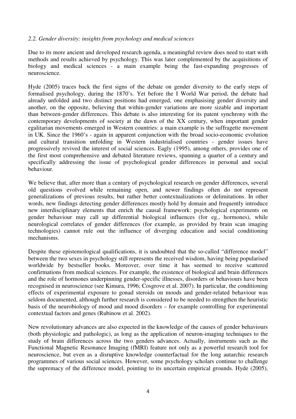### *2.2. Gender diversity: insights from psychology and medical sciences*

Due to its more ancient and developed research agenda, a meaningful review does need to start with methods and results achieved by psychology. This was later complemented by the acquisitions of biology and medical sciences - a main example being the fast-expanding progresses of neuroscience.

Hyde (2005) traces back the first signs of the debate on gender diversity to the early steps of formalised psychology, during the 1870's. Yet before the I World War period, the debate had already unfolded and two distinct positions had emerged, one emphasising gender diversity and another, on the opposite, believing that within-gender variations are more sizable and important than between-gender differences. This debate is also interesting for its patent synchrony with the contemporary developments of society at the dawn of the XX century, when important gender egalitarian movements emerged in Western countries: a main example is the suffragette movement in UK. Since the 1960's - again in apparent conjunction with the broad socio-economic evolution and cultural transition unfolding in Western industrialised countries - gender issues have progressively revived the interest of social sciences. Eagly (1995), among others, provides one of the first most comprehensive and debated literature reviews, spanning a quarter of a century and specifically addressing the issue of psychological gender differences in personal and social behaviour.

We believe that, after more than a century of psychological research on gender differences, several old questions evolved while remaining open, and newer findings often do not represent generalizations of previous results, but rather better contextualizations or delimitations. In other words, new findings detecting gender differences mostly hold by domain and frequently introduce new interdisciplinary elements that enrich the causal framework: psychological experiments on gender behaviour may call up differential biological influences (for eg., hormones), while neurological correlates of gender differences (for example, as provided by brain scan imaging technologies) cannot rule out the influence of diverging education and social conditioning mechanisms.

Despite these epistemological qualifications, it is undoubted that the so-called "difference model" between the two sexes in psychology still represents the received wisdom, having being popularised worldwide by bestseller books. Moreover, over time it has seemed to receive scattered confirmations from medical sciences. For example, the existence of biological and brain differences and the role of hormones underpinning gender-specific illnesses, disorders or behaviours have been recognised in neuroscience (see Kimura, 1996; Cosgrove et al. 2007). In particular, the conditioning effects of experimental exposure to gonad steroids on moods and gender-related behaviour was seldom documented, although further research is considered to be needed to strengthen the heuristic basis of the neurobiology of mood and mood disorders – for example controlling for experimental contextual factors and genes (Rubinow et al. 2002).

New revolutionary advances are also expected in the knowledge of the causes of gender behaviours (both physiologic and pathologic), as long as the application of neuron-imaging techniques to the study of brain differences across the two genders advances. Actually, instruments such as the Functional Magnetic Resonance Imaging (fMRI) feature not only as a powerful research tool for neuroscience, but even as a disruptive knowledge counterfactual for the long autarchic research programmes of various social sciences. However, some psychology scholars continue to challenge the supremacy of the difference model, pointing to its uncertain empirical grounds. Hyde (2005),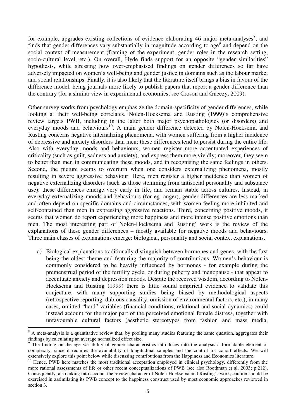for example, upgrades existing collections of evidence elaborating 46 major meta-analyses $\delta$ , and finds that gender differences vary substantially in magnitude according to age<sup>9</sup> and depend on the social context of measurement (framing of the experiment, gender roles in the research setting, socio-cultural level, etc.). On overall, Hyde finds support for an opposite "gender similarities" hypothesis, while stressing how over-emphasised findings on gender differences so far have adversely impacted on women's well-being and gender justice in domains such as the labour market and social relationships. Finally, it is also likely that the literature itself brings a bias in favour of the difference model, being journals more likely to publish papers that report a gender difference than the contrary (for a similar view in experimental economics, see Croson and Gneezy, 2009).

Other survey works from psychology emphasize the domain-specificity of gender differences, while looking at their well-being correlates. Nolen-Hoeksema and Rusting (1999)'s comprehensive review targets PWB, including in the latter both major psychopathologies (or disorders) and everyday moods and behaviours<sup>10</sup>. A main gender difference detected by Nolen-Hoeksema and Rusting concerns negative internalizing phenomena, with women suffering from a higher incidence of depressive and anxiety disorders than men; these differences tend to persist during the entire life. Also with everyday moods and behaviours, women register more accentuated experiences of criticality (such as guilt, sadness and anxiety), and express them more vividly; moreover, they seem to better than men in communicating these moods, and in recognising the same feelings in others. Second, the picture seems to overturn when one considers externalizing phenomena, mostly resulting in severe aggressive behaviour. Here, men register a higher incidence than women of negative externalizing disorders (such as those stemming from antisocial personality and substance use): these differences emerge very early in life, and remain stable across cultures. Instead, in everyday externalizing moods and behaviours (for eg. anger), gender differences are less marked and often depend on specific domains and circumstances, with women feeling more inhibited and self-contained than men in expressing aggressive reactions. Third, concerning positive moods, it seems that women do report experiencing more happiness and more intense positive emotions than men. The most interesting part of Nolen-Hoeksema and Rusting' work is the review of the explanations of these gender differences – mostly available for negative moods and behaviours. Three main classes of explanations emerge: biological, personality and social context explanations.

a) Biological explanations traditionally distinguish between hormones and genes, with the first being the oldest theme and featuring the majority of contributions. Women's behaviour is commonly considered to be heavily influenced by hormones - for example during the premenstrual period of the fertility cycle, or during puberty and menopause - that appear to accentuate anxiety and depression moods. Despite the received wisdom, according to Nolen-Hoeksema and Rusting (1999) there is little sound empirical evidence to validate this conjecture, with many supporting studies being biased by methodological aspects (retrospective reporting, dubious causality, omission of environmental factors, etc.); in many cases, omitted "hard" variables (financial conditions, relational and social dynamics) could instead account for the major part of the perceived emotional female distress, together with unfavourable cultural factors (aesthetic stereotypes from fashion and mass media,

 $\overline{a}$ 

<sup>&</sup>lt;sup>8</sup> A meta-analysis is a quantitative review that, by pooling many studies featuring the same question, aggregates their findings by calculating an average normalized effect size.

<sup>&</sup>lt;sup>9</sup> The finding on the age variability of gender characteristics introduces into the analysis a formidable element of complexity, since it requires the availability of longitudinal samples and the control for cohort effects. We will extensively explore this point below while discussing contributions from the Happiness and Economics literature.

<sup>&</sup>lt;sup>10</sup> Hence. PWB here matches the most traditional acceptation employed in clinical psychology, differently from the more rational assessments of life or other recent conceptualizations of PWB (see also Roothman et al. 2003; p.212). Consequently, also taking into account the review character of Nolen-Hoeksema and Rusting's work, caution should be exercised in assimilating its PWB concept to the happiness construct used by most economic approaches reviewed in section 3.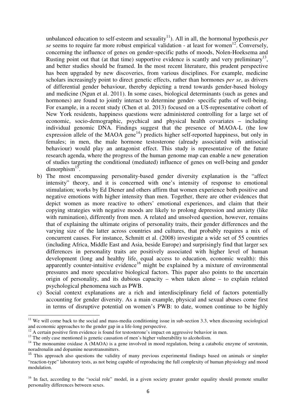unbalanced education to self-esteem and sexuality<sup>11</sup>). All in all, the hormonal hypothesis *per se* seems to require far more robust empirical validation - at least for women<sup>12</sup>. Conversely, concerning the influence of genes on gender-specific paths of moods, Nolen-Hoeksema and Rusting point out that (at that time) supportive evidence is scantly and very preliminary<sup>13</sup>, and better studies should be framed. In the most recent literature, this prudent perspective has been upgraded by new discoveries, from various disciplines. For example, medicine scholars increasingly point to direct genetic effects, rather than hormones *per se*, as drivers of differential gender behaviour, thereby depicting a trend towards gender-based biology and medicine (Ngun et al. 2011). In some cases, biological determinants (such as genes and hormones) are found to jointly interact to determine gender- specific paths of well-being. For example, in a recent study (Chen et al. 2013) focused on a US-representative cohort of New York residents, happiness questions were administered controlling for a large set of economic, socio-demographic, psychical and physical health covariates – including individual genomic DNA. Findings suggest that the presence of MAOA-L (the low expression allele of the MAOA gene<sup>14</sup>) predicts higher self-reported happiness, but only in females; in men, the male hormone testosterone (already associated with antisocial behaviour) would play an antagonist effect. This study is representative of the future research agenda, where the progress of the human genome map can enable a new generation of studies targeting the conditional (mediated) influence of genes on well-being and gender dimorphism<sup>15</sup>.

- b) The most encompassing personality-based gender diversity explanation is the "affect intensity" theory, and it is concerned with one's intensity of response to emotional stimulation; works by Ed Diener and others affirm that women experience both positive and negative emotions with higher intensity than men. Together, there are other evidences that depict women as more reactive to others' emotional experiences, and claim that their copying strategies with negative moods are likely to prolong depression and anxiety (like with rumination), differently from men. A related and unsolved question, however, remains that of explaining the ultimate origins of personality traits, their gender differences and the varying size of the latter across countries and cultures, that probably requires a mix of concurrent causes. For instance, Schmitt et al. (2008) investigate a wide set of 55 countries (including Africa, Middle East and Asia, beside Europe) and surprisingly find that larger sex differences in personality traits are positively associated with higher level of human development (long and healthy life, equal access to education, economic wealth): this apparently counter-intuitive evidence<sup>16</sup> might be explained by a mixture of environmental pressures and more speculative biological factors. This paper also points to the uncertain origin of personality, and its dubious capacity – when taken alone – to explain related psychological phenomena such as PWB.
- c) Social context explanations are a rich and interdisciplinary field of factors potentially accounting for gender diversity. As a main example, physical and sexual abuses come first in terms of disruptive potential on women's PWB: to date, women continue to be highly

 $11$  We will come back to the social and mass-media conditioning issue in sub-section 3.3, when discussing sociological and economic approaches to the gender gap in a life-long perspective.

 $12$  A certain positive firm evidence is found for testosterone's impact on aggressive behavior in men.

<sup>&</sup>lt;sup>13</sup> The only case mentioned is genetic causation of men's higher vulnerability to alcoholism.

<sup>&</sup>lt;sup>14</sup> The monoamine oxidase  $\widetilde{A}$  (MAOA) is a gene involved in mood regulation, being a catabolic enzyme of serotonin, noradrenalin and dopamine neurotransmitters.

<sup>&</sup>lt;sup>15</sup> This approach also questions the validity of many previous experimental findings based on animals or simpler "reaction-type" laboratory tests, as not being capable of reproducing the full complexity of human physiology and mood modulation.

<sup>&</sup>lt;sup>16</sup> In fact, according to the "social role" model, in a given society greater gender equality should promote smaller personality differences between sexes.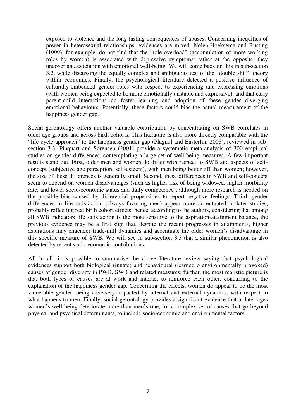exposed to violence and the long-lasting consequences of abuses. Concerning inequities of power in heterosexual relationships, evidences are mixed. Nolen-Hoeksema and Rusting (1999), for example, do not find that the "role-overload" (accumulation of more working roles by women) is associated with depressive symptoms: rather at the opposite, they uncover an association with emotional well-being. We will come back on this in sub-section 3.2, while discussing the equally complex and ambiguous test of the "double shift" theory within economics. Finally, the psychological literature detected a positive influence of culturally-embedded gender roles with respect to experiencing and expressing emotions (with women being expected to be more emotionally unstable and expressive), and that early parent-child interactions do foster learning and adoption of these gender diverging emotional behaviours. Potentially, these factors could bias the actual measurement of the happiness gender gap.

Social gerontology offers another valuable contribution by concentrating on SWB correlates in older age groups and across birth cohorts. This literature is also more directly comparable with the "life cycle approach" to the happiness gender gap (Plagnol and Easterlin, 2008), reviewed in subsection 3.3. Pinquart and Sörensen (2001) provide a systematic meta-analysis of 300 empirical studies on gender differences, contemplating a large set of well-being measures. A few important results stand out. First, older men and women do differ with respect to SWB and aspects of selfconcept (subjective age perception, self-esteem), with men being better off than women; however, the size of these differences is generally small. Second, these differences in SWB and self-concept seem to depend on women disadvantages (such as higher risk of being widowed, higher morbidity rate, and lower socio-economic status and daily competence), although more research is needed on the possible bias caused by differential propensities to report negative feelings. Third, gender differences in life satisfaction (always favoring men) appear more accentuated in later studies, probably reflecting real birth cohort effects: hence, according to the authors, considering that among all SWB indicators life satisfaction is the most sensitive to the aspiration-attainment balance, the previous evidence may be a first sign that, despite the recent progresses in attainments, higher aspirations may engender trade-mill dynamics and accentuate the older women's disadvantage in this specific measure of SWB. We will see in sub-section 3.3 that a similar phenomenon is also detected by recent socio-economic contributions.

All in all, it is possible to summarise the above literature review saying that psychological evidences support both biological (innate) and behavioural (learned o environmentally provoked) causes of gender diversity in PWB, SWB and related measures; further, the most realistic picture is that both types of causes are at work and interact to reinforce each other, concurring to the explanation of the happiness gender gap. Concerning the effects, women do appear to be the most vulnerable gender, being adversely impacted by internal and external dynamics, with respect to what happens to men. Finally, social gerontology provides a significant evidence that at later ages women's well-being deteriorate more than men's one, for a complex set of causes that go beyond physical and psychical determinants, to include socio-economic and environmental factors.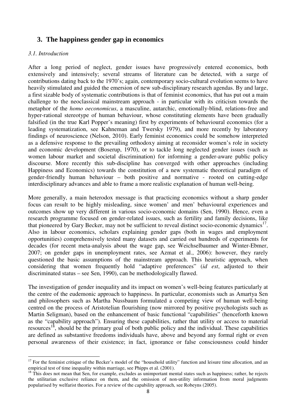# **3. The happiness gender gap in economics**

### *3.1. Introduction*

 $\overline{a}$ 

After a long period of neglect, gender issues have progressively entered economics, both extensively and intensively; several streams of literature can be detected, with a surge of contributions dating back to the 1970's; again, contemporary socio-cultural evolution seems to have heavily stimulated and guided the emersion of new sub-disciplinary research agendas. By and large, a first sizable body of systematic contributions is that of feminist economics, that has put out a main challenge to the neoclassical mainstream approach - in particular with its criticism towards the metaphor of the *homo oeconomicus*, a masculine, autarchic, emotionally-blind, relations-free and hyper-rational stereotype of human behaviour, whose constituting elements have been gradually falsified (in the true Karl Popper's meaning) first by experiments of behavioural economics (for a leading systematization, see Kahneman and Twersky 1979), and more recently by laboratory findings of neuroscience (Nelson, 2010). Early feminist economics could be somehow interpreted as a defensive response to the prevailing orthodoxy aiming at reconsider women's role in society and economic development (Boserup, 1970), or to tackle long neglected gender issues (such as women labour market and societal discrimination) for informing a gender-aware public policy discourse. More recently this sub-discipline has converged with other approaches (including Happiness and Economics) towards the constitution of a new systematic theoretical paradigm of gender-friendly human behaviour – both positive and normative - rooted on cutting-edge interdisciplinary advances and able to frame a more realistic explanation of human well-being.

More generally, a main heterodox message is that practicing economics without a sharp gender focus can result to be highly misleading, since women' and men' behavioural experiences and outcomes show up very different in various socio-economic domains (Sen, 1990). Hence, even a research programme focused on gender-related issues, such as fertility and family decisions, like that pioneered by Gary Becker, may not be sufficient to reveal distinct socio-economic dynamics<sup>17</sup>. Also in labour economics, scholars explaining gender gaps (both in wages and employment opportunities) comprehensively tested many datasets and carried out hundreds of experiments for decades (for recent meta-analysis about the wage gap, see Weichselbaumer and Winter-Ebmer, 2007; on gender gaps in unemployment rates, see Azmat et al., 2006): however, they rarely questioned the basic assumptions of the mainstream approach. This heuristic approach, when considering that women frequently hold "adaptive preferences" (*id est*, adjusted to their discriminated status – see Sen, 1990), can be methodologically flawed.

The investigation of gender inequality and its impact on women's well-being features particularly at the centre of the eudemonic approach to happiness. In particular, economists such as Amartya Sen and philosophers such as Martha Nussbaum formulated a competing view of human well-being centred on the process of Aristotelian flourishing (now mirrored by positive psychologists such as Martin Seligman), based on the enhancement of basic functional "capabilities" (henceforth known as the "capability approach"). Ensuring these capabilities, rather that utility or access to material resources<sup>18</sup>, should be the primary goal of both public policy and the individual. These capabilities are defined as substantive freedoms individuals have, above and beyond any formal right or even personal awareness of their existence; in fact, ignorance or false consciousness could hinder

 $17$  For the feminist critique of the Becker's model of the "household utility" function and leisure time allocation, and an empirical test of time inequality within marriage, see Phipps et al. (2001).

 $18$  This does not mean that Sen, for example, excludes as unimportant mental states such as happiness; rather, he rejects the utilitarian exclusive reliance on them, and the omission of non-utility information from moral judgments popularised by welfarist theories. For a review of the capability approach, see Robeyns (2005).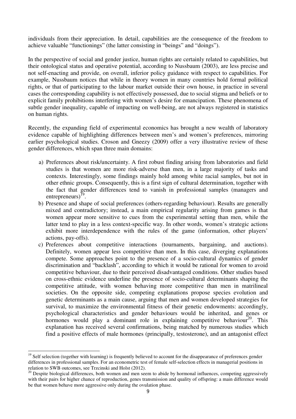individuals from their appreciation. In detail, capabilities are the consequence of the freedom to achieve valuable "functionings" (the latter consisting in "beings" and "doings").

In the perspective of social and gender justice, human rights are certainly related to capabilities, but their ontological status and operative potential, according to Nussbaum (2003), are less precise and not self-enacting and provide, on overall, inferior policy guidance with respect to capabilities. For example, Nussbaum notices that while in theory women in many countries hold formal political rights, or that of participating to the labour market outside their own house, in practice in several cases the corresponding capability is not effectively possessed, due to social stigma and beliefs or to explicit family prohibitions interfering with women's desire for emancipation. These phenomena of subtle gender inequality, capable of impacting on well-being, are not always registered in statistics on human rights.

Recently, the expanding field of experimental economics has brought a new wealth of laboratory evidence capable of highlighting differences between men's and women's preferences, mirroring earlier psychological studies. Croson and Gneezy (2009) offer a very illustrative review of these gender differences, which span three main domains:

- a) Preferences about risk/uncertainty. A first robust finding arising from laboratories and field studies is that women are more risk-adverse than men, in a large majority of tasks and contexts. Interestingly, some findings mainly hold among white racial samples, but not in other ethnic groups. Consequently, this is a first sign of cultural determination, together with the fact that gender differences tend to vanish in professional samples (managers and entrepreneurs) $^{19}$ .
- b) Presence and shape of social preferences (others-regarding behaviour). Results are generally mixed and contradictory; instead, a main empirical regularity arising from games is that women appear more sensitive to cues from the experimental setting than men, while the latter tend to play in a less context-specific way. In other words, women's strategic actions exhibit more interdependence with the rules of the game (information, other players' actions, pay-offs).
- c) Preferences about competitive interactions (tournaments, bargaining, and auctions). Definitely, women appear less competitive than men. In this case, diverging explanations compete. Some approaches point to the presence of a socio-cultural dynamics of gender discrimination and "backlash", according to which it would be rational for women to avoid competitive behaviour, due to their perceived disadvantaged conditions. Other studies based on cross-ethnic evidence underline the presence of socio-cultural determinants shaping the competitive attitude, with women behaving more competitive than men in matrilineal societies. On the opposite side, competing explanations propose species evolution and genetic determinants as a main cause, arguing that men and women developed strategies for survival, to maximize the environmental fitness of their genetic endowments: accordingly, psychological characteristics and gender behaviours would be inherited, and genes or hormones would play a dominant role in explaining competitive behaviour<sup>20</sup>. This explanation has received several confirmations, being matched by numerous studies which find a positive effects of male hormones (principally, testosterone), and an antagonist effect

 $19$  Self selection (together with learning) is frequently believed to account for the disappearance of preferences gender differences in professional samples. For an econometric test of female self-selection effects in managerial positions in relation to SWB outcomes, see Trzcinski and Holst (2012).

 $^{20}$  Despite biological differences, both women and men seem to abide by hormonal influences, competing aggressively with their pairs for higher chance of reproduction, genes transmission and quality of offspring: a main difference would be that women behave more aggressive only during the ovulation phase.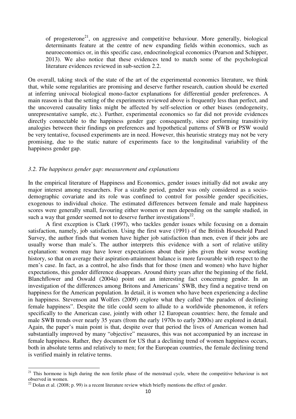of progesterone<sup>21</sup>, on aggressive and competitive behaviour. More generally, biological determinants feature at the centre of new expanding fields within economics, such as neuroeconomics or, in this specific case, endocrinological economics (Pearson and Schipper, 2013). We also notice that these evidences tend to match some of the psychological literature evidences reviewed in sub-section 2.2.

On overall, taking stock of the state of the art of the experimental economics literature, we think that, while some regularities are promising and deserve further research, caution should be exerted at inferring univocal biological mono-factor explanations for differential gender preferences. A main reason is that the setting of the experiments reviewed above is frequently less than perfect, and the uncovered causality links might be affected by self-selection or other biases (endogeneity, unrepresentative sample, etc.). Further, experimental economics so far did not provide evidences directly connectable to the happiness gender gap: consequently, since performing transitivity analogies between their findings on preferences and hypothetical patterns of SWB or PSW would be very tentative, focused experiments are in need. However, this heuristic strategy may not be very promising, due to the static nature of experiments face to the longitudinal variability of the happiness gender gap.

#### *3.2. The happiness gender gap: measurement and explanations*

In the empirical literature of Happiness and Economics, gender issues initially did not awake any major interest among researchers. For a sizable period, gender was only considered as a sociodemographic covariate and its role was confined to control for possible gender specificities, exogenous to individual choice. The estimated differences between female and male happiness scores were generally small, favouring either women or men depending on the sample studied, in such a way that gender seemed not to deserve further investigations $^{22}$ .

A first exception is Clark (1997), who tackles gender issues while focusing on a domain satisfaction, namely, job satisfaction. Using the first wave (1991) of the British Household Panel Survey, the author finds that women have higher job satisfaction than men, even if their jobs are usually worse than male's. The author interprets this evidence with a sort of relative utility explanation: women may have lower expectations about their jobs given their worse working history, so that on average their aspiration-attainment balance is more favourable with respect to the men's case. In fact, as a control, he also finds that for those (men and women) who have higher expectations, this gender difference disappears. Around thirty years after the beginning of the field, Blanchflower and Oswald (2004a) point out an interesting fact concerning gender. In an investigation of the differences among Britons and Americans' SWB, they find a negative trend on happiness for the American population. In detail, it is women who have been experiencing a decline in happiness. Stevenson and Wolfers (2009) explore what they called "the paradox of declining female happiness". Despite the title could seem to allude to a worldwide phenomenon, it refers specifically to the American case, jointly with other 12 European countries: here, the female and male SWB trends over nearly 35 years (from the early 1970s to early 2000s) are explored in detail. Again, the paper's main point is that, despite over that period the lives of American women had substantially improved by many "objective" measures, this was not accompanied by an increase in female happiness. Rather, they document for US that a declining trend of women happiness occurs, both in absolute terms and relatively to men; for the European countries, the female declining trend is verified mainly in relative terms.

 $21$  This hormone is high during the non fertile phase of the menstrual cycle, where the competitive behaviour is not observed in women.

<sup>&</sup>lt;sup>22</sup> Dolan et al. (2008; p. 99) is a recent literature review which briefly mentions the effect of gender.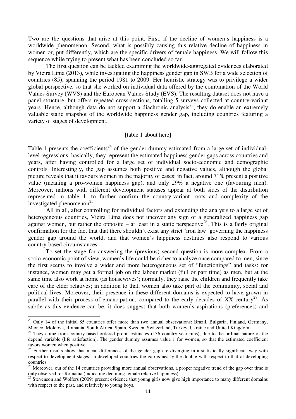Two are the questions that arise at this point. First, if the decline of women's happiness is a worldwide phenomenon. Second, what is possibly causing this relative decline of happiness in women or, put differently, which are the specific drivers of female happiness. We will follow this sequence while trying to present what has been concluded so far.

The first question can be tackled examining the worldwide-aggregated evidences elaborated by Vieira Lima (2013), while investigating the happiness gender gap in SWB for a wide selection of countries (85), spanning the period 1981 to 2009. Her heuristic strategy was to privilege a wider global perspective, so that she worked on individual data offered by the combination of the World Values Survey (WVS) and the European Values Study (EVS). The resulting dataset does not have a panel structure, but offers repeated cross-sections, totalling 5 surveys collected at country-variant years. Hence, although data do not support a diachronic analysis<sup>23</sup>, they do enable an extremely valuable static snapshot of the worldwide happiness gender gap, including countries featuring a variety of stages of development.

#### [table 1 about here]

Table 1 presents the coefficients<sup>24</sup> of the gender dummy estimated from a large set of individuallevel regressions: basically, they represent the estimated happiness gender gaps across countries and years, after having controlled for a large set of individual socio-economic and demographic controls. Interestingly, the gap assumes both positive and negative values, although the global picture reveals that it favours women in the majority of cases: in fact, around 71% present a positive value (meaning a pro-women happiness gap), and only 29% a negative one (favouring men). Moreover, nations with different development statuses appear at both sides of the distribution represented in table 1, to further confirm the country-variant roots and complexity of the investigated phenomenon<sup>25</sup>.

All in all, after controlling for individual factors and extending the analysis to a large set of heterogeneous countries, Vieira Lima does not uncover any sign of a generalized happiness gap against women, but rather the opposite – at least in a static perspective<sup>26</sup>. This is a fairly original confirmation for the fact that that there shouldn't exist any strict 'iron law' governing the happiness gender gap around the world, and that women's happiness destinies also respond to various country-based circumstances.

 To set the stage for answering the (previous) second question is more complex. From a socio-economic point of view, women's life could be richer to analyze once compared to men, since the first seems to involve a wider and more heterogeneous set of "functionings" and tasks: for instance, women may get a formal job on the labour market (full or part time) as men, but at the same time also work at home (as housewives); normally, they raise the children and frequently take care of the elder relatives; in addition to that, women also take part of the community, social and political lives. Moreover, their presence in these different domains is expected to have grown in parallel with their process of emancipation, compared to the early decades of  $XX$  century<sup>27</sup>. As subtle as this evidence can be, it does suggest that both women's aspirations (preferences) and

<sup>&</sup>lt;sup>23</sup> Only 14 of the initial 85 countries offer more than two annual observations: Brazil, Bulgaria, Finland, Germany, Mexico, Moldova, Romania, South Africa, Spain, Sweden, Switzerland, Turkey, Ukraine and United Kingdom.

<sup>&</sup>lt;sup>24</sup> They come from country-based ordered probit estimates (136 country-year runs), due to the ordinal nature of the depend variable (life satisfaction). The gender dummy assumes value 1 for women, so that the estimated coefficient favors women when positive.

<sup>&</sup>lt;sup>25</sup> Further results show that mean differences of the gender gap are diverging in a statistically significant way with respect to development stages; in developed countries the gap is nearly the double with respect to that of developing countries.

 $26$  Moreover, out of the 14 countries providing more annual observations, a proper negative trend of the gap over time is only observed for Romania (indicating declining female relative happiness).

 $27$  Stevenson and Wolfers (2009) present evidence that young girls now give high importance to many different domains with respect to the past, and relatively to young boys.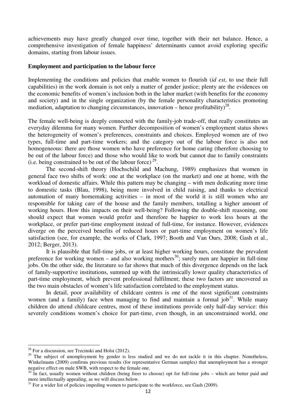achievements may have greatly changed over time, together with their net balance. Hence, a comprehensive investigation of female happiness' determinants cannot avoid exploring specific domains, starting from labour issues.

#### **Employment and participation to the labour force**

Implementing the conditions and policies that enable women to flourish (*id est*, to use their full capabilities) in the work domain is not only a matter of gender justice; plenty are the evidences on the economic benefits of women's inclusion both in the labor market (with benefits for the economy and society) and in the single organization (by the female personality characteristics promoting mediation, adaptation to changing circumstances, innovation – hence profitability)<sup>28</sup>.

The female well-being is deeply connected with the family-job trade-off, that really constitutes an everyday dilemma for many women. Further decomposition of women's employment status shows the heterogeneity of women's preferences, constraints and choices. Employed women are of two types, full-time and part-time workers; and the category out of the labour force is also not homogeneous: there are those women who have preference for home caring (therefore choosing to be out of the labour force) and those who would like to work but cannot due to family constraints (i.e. being constrained to be out of the labour force)<sup>29</sup>.

The second-shift theory (Hochschild and Machung, 1989) emphasizes that women in general face two shifts of work: one at the workplace (on the market) and one at home, with the workload of domestic affairs. While this pattern may be changing – with men dedicating more time to domestic tasks (Blau, 1998), being more involved in child raising, and thanks to electrical automation of many homemaking activities – in most of the world it is still women who are responsible for taking care of the house and the family members, totalling a higher amount of working hours. How this impacts on their well-being? Following the double-shift reasoning, one should expect that women would prefer and therefore be happier to work less hours at the workplace, or prefer part-time employment instead of full-time, for instance. However, evidences diverge on the perceived benefits of reduced hours or part-time employment on women's life satisfaction (see, for example, the works of Clark, 1997; Booth and Van Ours, 2008; Gash et al., 2012; Berger, 2013).

It is plausible that full-time jobs, or at least higher working hours, constitute the prevalent preference for working women – and also working mothers<sup>30</sup>; surely men are happier in full-time jobs. On the other side, the literature so far shows that much of this divergence depends on the lack of family-supportive institutions, summed up with the intrinsically lower quality characteristics of part-time employment, which prevent professional fulfilment; these two factors are uncovered as the two main obstacles of women's life satisfaction correlated to the employment status.

In detail, poor availability of childcare centres is one of the most significant constraints women (and a family) face when managing to find and maintain a formal  $job<sup>31</sup>$ . While many children do attend childcare centres, most of these institutions provide only half-day service: this severely conditions women's choice for part-time, even though, in an unconstrained world, one

 $28$  For a discussion, see Trzcinski and Holst (2012).

<sup>&</sup>lt;sup>29</sup> The subject of unemployment by gender is less studied and we do not tackle it in this chapter. Nonetheless, Winkelmann (2009) confirms previous results (for representative German samples) that unemployment has a stronger negative effect on male SWB, with respect to the female one.

 $30\text{ }\dot{\text{I}}$  in fact, usually women without children (being freer to choose) opt for full-time jobs – which are better paid and more intellectually appealing, as we will discuss below.

 $31$  For a wider list of policies impeding women to participate to the workforce, see Gash (2009).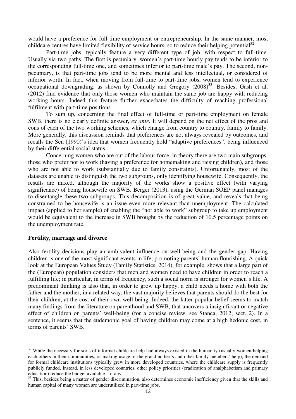would have a preference for full-time employment or entrepreneurship. In the same manner, most childcare centres have limited flexibility of service hours, so to reduce their helping potential<sup>32</sup>.

Part-time jobs, typically feature a very different type of job, with respect to full-time. Usually via two paths. The first is pecuniary: women's part-time hourly pay tends to be inferior to the corresponding full-time one, and sometimes inferior to part-time male's pay. The second, nonpecuniary, is that part-time jobs tend to be more menial and less intellectual, or considered of inferior worth. In fact, when moving from full-time to part-time jobs, women tend to experience occupational downgrading, as shown by Connolly and Gregory  $(2008)^{33}$ . Besides, Gash et al. (2012) find evidence that only those women who maintain the same job are happy with reducing working hours. Indeed this feature further exacerbates the difficulty of reaching professional fulfilment with part-time positions.

To sum up, concerning the final effect of full-time or part-time employment on female SWB, there is no clearly definite answer, *ex ante*. It will depend on the net effect of the pros and cons of each of the two working schemes, which change from country to country, family to family. More generally, this discussion reminds that preferences are not always revealed by outcomes, and recalls the Sen (1990)'s idea that women frequently hold "adaptive preferences", being influenced by their differential social status.

Concerning women who are out of the labour force, in theory there are two main subgroups: those who prefer not to work (having a preference for homemaking and raising children), and those who are not able to work (substantially due to family constraints). Unfortunately, most of the datasets are unable to distinguish the two subgroups, only identifying housewife. Consequently, the results are mixed, although the majority of the works show a positive effect (with varying significance) of being housewife on SWB. Berger (2013), using the German SOEP panel manages to disentangle these two subgroups. This decomposition is of great value, and reveals that being constrained to be housewife is an issue even more relevant than unemployment. The calculated impact (applied to her sample) of enabling the "not able to work" subgroup to take up employment would be equivalent to the increase in SWB brought by the reduction of 10.5 percentage points on the unemployment rate.

### **Fertility, marriage and divorce**

l

Also fertility decisions play an ambivalent influence on well-being and the gender gap. Having children is one of the most significant events in life, promoting parents' human flourishing. A quick look at the European Values Study (Family Statistics, 2014), for example, shows that a large part of the (European) population considers that men and women need to have children in order to reach a fulfilling life; in particular, in terms of frequency, such a social norm is stronger for women's life. A predominant thinking is also that, in order to grow up happy, a child needs a home with both the father and the mother; in a related way, the vast majority believes that parents should do the best for their children, at the cost of their own well-being. Indeed, the latter popular belief seems to match many findings from the literature on parenthood and SWB, that uncovers a insignificant or negative effect of children on parents' well-being (for a concise review, see Stanca, 2012; sect. 2). In a sentence, it seems that the eudemonic goal of having children may come at a high hedonic cost, in terms of parents' SWB.

<sup>&</sup>lt;sup>32</sup> While the necessity for sorts of informal childcare help had always existed in the humanity (usually women helping each others in their communities, or making usage of the grandmother's and other family members' help), the demand for formal childcare institutions typically grew in more developed countries, where the childcare supply is frequently publicly funded. Instead, in less developed countries, other policy priorities (eradication of analphabetism and primary education) reduce the budget available – if any.

<sup>&</sup>lt;sup>33</sup> This, besides being a matter of gender discrimination, also determines economic inefficiency given that the skills and human capital of many women are underutilized in part-time jobs.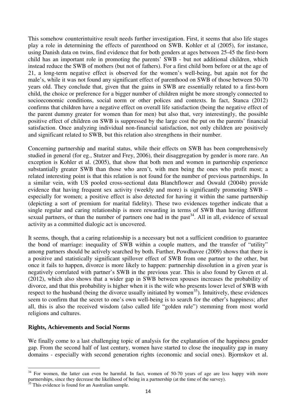This somehow counterintuitive result needs further investigation. First, it seems that also life stages play a role in determining the effects of parenthood on SWB. Kohler et al (2005), for instance, using Danish data on twins, find evidence that for both genders at ages between 25-45 the first-born child has an important role in promoting the parents' SWB - but not additional children, which instead reduce the SWB of mothers (but not of fathers). For a first child born before or at the age of 21, a long-term negative effect is observed for the women's well-being, but again not for the male's, while it was not found any significant effect of parenthood on SWB of those between 50-70 years old. They conclude that, given that the gains in SWB are essentially related to a first-born child, the choice or preference for a bigger number of children might be more strongly connected to socioeconomic conditions, social norm or other polices and contexts. In fact, Stanca (2012) confirms that children have a negative effect on overall life satisfaction (being the negative effect of the parent dummy greater for women than for men) but also that, very interestingly, the possible positive effect of children on SWB is suppressed by the large cost the put on the parents' financial satisfaction. Once analyzing individual non-financial satisfaction, not only children are positively and significant related to SWB, but this relation also strengthens in their number.

Concerning partnership and marital status, while their effects on SWB has been comprehensively studied in general (for eg., Stutzer and Frey, 2006), their disaggregation by gender is more rare. An exception is Kohler et al. (2005), that show that both men and women in partnership experience substantially greater SWB than those who aren't, with men being the ones who profit most; a related interesting point is that this relation is not found for the number of previous partnerships. In a similar vein, with US pooled cross-sectional data Blanchflower and Oswald (2004b) provide evidence that having frequent sex activity (weekly and more) is significantly promoting SWB – especially for women; a positive effect is also detected for having it within the same partnership (depicting a sort of premium for marital fidelity). These two evidences together indicate that a single regular and caring relationship is more rewarding in terms of SWB than having different sexual partners, or than the number of partners one had in the past<sup>34</sup>. All in all, evidence of sexual activity as a committed dialogic act is uncovered.

It seems, though, that a caring relationship is a necessary but not a sufficient condition to guarantee the bond of marriage: inequality of SWB within a couple matters, and the transfer of "utility" among partners should be actively searched by both. Further, Powdhavee (2009) shows that there is a positive and statistically significant spillover effect of SWB from one partner to the other, but once it fails to happen, divorce is more likely to happen: partnership dissolution in a given year is negatively correlated with partner's SWB in the previous year. This is also found by Guven et al. (2012), which also shows that a wider gap in SWB between spouses increases the probability of divorce, and that this probability is higher when it is the wife who presents lower level of SWB with respect to the husband (being the divorce usually initiated by women<sup>35</sup>). Intuitively, these evidences seem to confirm that the secret to one's own well-being is to search for the other's happiness; after all, this is also the received wisdom (also called life "golden rule") stemming from most world religions and cultures.

#### **Rights, Achievements and Social Norms**

We finally come to a last challenging topic of analysis for the explanation of the happiness gender gap. From the second half of last century, women have started to close the inequality gap in many domains - especially with second generation rights (economic and social ones). Bjornskov et al.

 $34$  For women, the latter can even be harmful. In fact, women of 50-70 years of age are less happy with more partnerships, since they decrease the likelihood of being in a partnership (at the time of the survey).

This evidence is found for an Australian sample.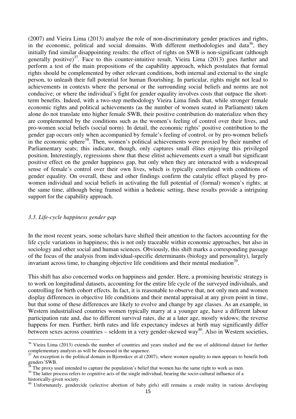(2007) and Vieira Lima (2013) analyze the role of non-discriminatory gender practices and rights, in the economic, political and social domains. With different methodologies and data<sup>36</sup>, they initially find similar disappointing results: the effect of rights on SWB is non-significant (although generally positive)<sup>37</sup>. Face to this counter-intuitive result, Vieira Lima  $(2013)$  goes further and perform a test of the main propositions of the capability approach, which postulates that formal rights should be complemented by other relevant conditions, both internal and external to the single person, to unleash their full potential for human flourishing. In particular, rights might not lead to achievements in contexts where the personal or the surrounding social beliefs and norms are not conducive; or where the individual's fight for gender equality involves costs that outpace the shortterm benefits. Indeed, with a two-step methodology Vieira Lima finds that, while stronger female economic rights and political achievements (as the number of women seated in Parliament) taken alone do not translate into higher female SWB, their positive contribution do materialize when they are complemented by the conditions such as the women's feeling of control over their lives, and pro-women social beliefs (social norm). In detail, the economic rights' positive contribution to the gender gap occurs only when accompanied by female's feeling of control, or by pro-women beliefs in the economic sphere<sup>38</sup>. Then, women's political achievements were proxied by their number of Parliamentary seats; this indicator, though, only captures small élites enjoying this privileged position. Interestingly, regressions show that these elitist achievements exert a small but significant positive effect on the gender happiness gap, but only when they are interacted with a widespread sense of female's control over their own lives, which is typically correlated with conditions of gender equality. On overall, these and other findings confirm the catalytic effect played by prowomen individual and social beliefs in activating the full potential of (formal) women's rights; at the same time, although being framed within a hedonic setting, these results provide a intriguing support for the capability approach.

### *3.3. Life-cycle happiness gender gap*

l

In the most recent years, some scholars have shifted their attention to the factors accounting for the life cycle variations in happiness; this is not only traceable within economic approaches, but also in sociology and other social and human sciences. Obviously, this shift marks a corresponding passage of the focus of the analysis from individual-specific determinants (biology and personality), largely invariant across time, to changing objective life conditions and their mental mediation<sup>39</sup>.

This shift has also concerned works on happiness and gender. Here, a promising heuristic strategy is to work on longitudinal datasets, accounting for the entire life cycle of the surveyed individuals, and controlling for birth cohort effects. In fact, it is reasonable to observe that, not only men and women display differences in objective life conditions and their mental appraisal at any given point in time, but that some of these differences are likely to evolve and change by age classes. As an example, in Western industrialised countries women typically marry at a younger age, have a different labour participation rate and, due to different survival rates, die at a later age, mostly widows; the reverse happens for men. Further, birth rates and life expectancy indexes at birth may significantly differ between sexes across countries – seldom in a very gender-skewed way<sup>40</sup>. Also in Western societies,

 $36$  Vieira Lima (2013) extends the number of countries and years studied and the use of additional dataset for further complementary analysis as will be discussed in the sequence.

 $37$  An exception is the political domain in Bjornskov et al (2007), where women equality to men appears to benefit both  $rac{\text{cocplot}}{38 \text{ m}}$ 

The proxy used intended to capture the population's belief that women has the same right to work as men.

<sup>&</sup>lt;sup>39</sup> The latter process refers to cognitive acts of the single individual, bearing the socio-cultural influence of a historically-given society.

<sup>&</sup>lt;sup>40</sup> Unfortunately, gendercide (selective abortion of baby girls) still remains a crude reality in various developing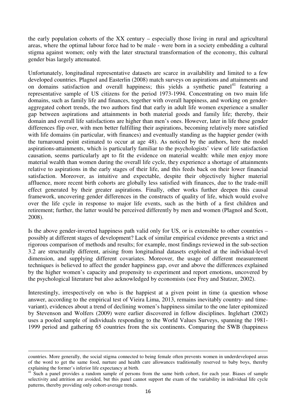the early population cohorts of the XX century – especially those living in rural and agricultural areas, where the optimal labour force had to be male - were born in a society embedding a cultural stigma against women; only with the later structural transformation of the economy, this cultural gender bias largely attenuated.

Unfortunately, longitudinal representative datasets are scarce in availability and limited to a few developed countries. Plagnol and Easterlin (2008) match surveys on aspirations and attainments and on domains satisfaction and overall happiness; this yields a synthetic panel<sup>41</sup> featuring a representative sample of US citizens for the period 1973-1994. Concentrating on two main life domains, such as family life and finances, together with overall happiness, and working on genderaggregated cohort trends, the two authors find that early in adult life women experience a smaller gap between aspirations and attainments in both material goods and family life; thereby, their domain and overall life satisfactions are higher than men's ones. However, later in life these gender differences flip over, with men better fulfilling their aspirations, becoming relatively more satisfied with life domains (in particular, with finances) and eventually standing as the happier gender (with the turnaround point estimated to occur at age 48). As noticed by the authors, here the model aspirations-attainments, which is particularly familiar to the psychologists' view of life satisfaction causation, seems particularly apt to fit the evidence on material wealth: while men enjoy more material wealth than women during the overall life cycle, they experience a shortage of attainments relative to aspirations in the early stages of their life, and this feeds back on their lower financial satisfaction. Moreover, as intuitive and expectable, despite their objectively higher material affluence, more recent birth cohorts are globally less satisfied with finances, due to the trade-mill effect generated by their greater aspirations. Finally, other works further deepen this causal framework, uncovering gender differences in the constructs of quality of life, which would evolve over the life cycle in response to major life events, such as the birth of a first children and retirement; further, the latter would be perceived differently by men and women (Plagnol and Scott, 2008).

Is the above gender-inverted happiness path valid only for US, or is extensible to other countries – possibly at different stages of development? Lack of similar empirical evidence prevents a strict and rigorous comparison of methods and results; for example, most findings reviewed in the sub-section 3.2 are structurally different, arising from longitudinal datasets exploited at the individual-level dimension, and supplying different covariates. Moreover, the usage of different measurement techniques is believed to affect the gender happiness gap, over and above the differences explained by the higher women's capacity and propensity to experiment and report emotions, uncovered by the psychological literature but also acknowledged by economists (see Frey and Stutzer, 2002).

Interestingly, irrespectively on who is the happiest at a given point in time (a question whose answer, according to the empirical test of Vieira Lima, 2013, remains inevitably country- and timevariant), evidences about a trend of declining women's happiness similar to the one later epitomized by Stevenson and Wolfers (2009) were earlier discovered in fellow disciplines. Inglehart (2002) uses a pooled sample of individuals responding to the World Values Surveys, spanning the 1981- 1999 period and gathering 65 countries from the six continents. Comparing the SWB (happiness

countries. More generally, the social stigma connected to being female often prevents women in underdeveloped areas of the word to get the same food, nurture and health care allowances traditionally reserved to baby boys, thereby explaining the former's inferior life expectancy at birth.

<sup>&</sup>lt;sup>41</sup> Such a panel provides a random sample of persons from the same birth cohort, for each year. Biases of sample selectivity and attrition are avoided, but this panel cannot support the exam of the variability in individual life cycle patterns, thereby providing only cohort-average trends.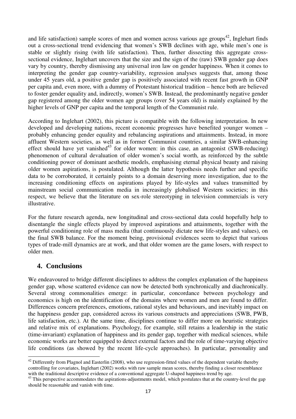and life satisfaction) sample scores of men and women across various age groups<sup>42</sup>, Inglehart finds out a cross-sectional trend evidencing that women's SWB declines with age, while men's one is stable or slightly rising (with life satisfaction). Then, further dissecting this aggregate crosssectional evidence, Inglehart uncovers that the size and the sign of the (raw) SWB gender gap does vary by country, thereby dismissing any universal iron law on gender happiness. When it comes to interpreting the gender gap country-variability, regression analyses suggests that, among those under 45 years old, a positive gender gap is positively associated with recent fast growth in GNP per capita and, even more, with a dummy of Protestant historical tradition – hence both are believed to foster gender equality and, indirectly, women's SWB. Instead, the predominantly negative gender gap registered among the older women age groups (over 54 years old) is mainly explained by the higher levels of GNP per capita and the temporal length of the Communist rule.

According to Inglehart (2002), this picture is compatible with the following interpretation. In new developed and developing nations, recent economic progresses have benefited younger women – probably enhancing gender equality and rebalancing aspirations and attainments. Instead, in more affluent Western societies, as well as in former Communist countries, a similar SWB-enhancing effect should have yet vanished<sup>43</sup> for older women: in this case, an antagonist (SWB-reducing) phenomenon of cultural devaluation of older women's social worth, as reinforced by the subtle conditioning power of dominant aesthetic models, emphasising eternal physical beauty and raising older women aspirations, is postulated. Although the latter hypothesis needs further and specific data to be corroborated, it certainly points to a domain deserving more investigation, due to the increasing conditioning effects on aspirations played by life-styles and values transmitted by mainstream social communication media in increasingly globalised Western societies; in this respect, we believe that the literature on sex-role stereotyping in television commercials is very illustrative.

For the future research agenda, new longitudinal and cross-sectional data could hopefully help to disentangle the single effects played by improved aspirations and attainments, together with the powerful conditioning role of mass media (that continuously dictate new life-styles and values), on the final SWB balance. For the moment being, provisional evidences seem to depict that various types of trade-mill dynamics are at work, and that older women are the game losers, with respect to older men.

## **4. Conclusions**

 $\overline{a}$ 

We endeavoured to bridge different disciplines to address the complex explanation of the happiness gender gap, whose scattered evidence can now be detected both synchronically and diachronically. Several strong commonalities emerge: in particular, concordance between psychology and economics is high on the identification of the domains where women and men are found to differ. Differences concern preferences, emotions, rational styles and behaviours, and inevitably impact on the happiness gender gap, considered across its various constructs and appreciations (SWB, PWB, life satisfaction, etc.). At the same time, disciplines continue to differ more on heuristic strategies and relative mix of explanations. Psychology, for example, still retains a leadership in the static (time-invariant) explanation of happiness and its gender gap, together with medical sciences, while economic works are better equipped to detect external factors and the role of time-varying objective life conditions (as showed by the recent life-cycle approaches). In particular, personality and

 $42$  Differently from Plagnol and Easterlin (2008), who use regression-fitted values of the dependent variable thereby controlling for covariates, Inglehart (2002) works with raw sample mean scores, thereby finding a closer resemblance with the traditional descriptive evidence of a conventional aggregate U-shaped happiness trend by age.

<sup>&</sup>lt;sup>43</sup> This perspective accommodates the aspirations-adjustments model, which postulates that at the country-level the gap should be reasonable and vanish with time.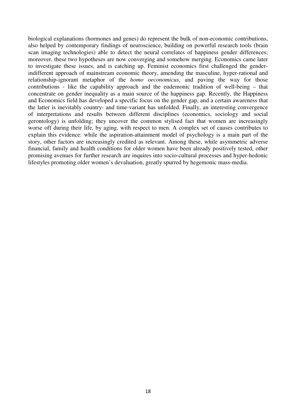biological explanations (hormones and genes) do represent the bulk of non-economic contributions, also helped by contemporary findings of neuroscience, building on powerful research tools (brain scan imaging technologies) able to detect the neural correlates of happiness gender differences; moreover, these two hypotheses are now converging and somehow merging. Economics came later to investigate these issues, and is catching up. Feminist economics first challenged the genderindifferent approach of mainstream economic theory, amending the masculine, hyper-rational and relationship-ignorant metaphor of the *homo oeconomicus*, and paving the way for those contributions - like the capability approach and the eudemonic tradition of well-being – that concentrate on gender inequality as a main source of the happiness gap. Recently, the Happiness and Economics field has developed a specific focus on the gender gap, and a certain awareness that the latter is inevitably country- and time-variant has unfolded. Finally, an interesting convergence of interpretations and results between different disciplines (economics, sociology and social gerontology) is unfolding; they uncover the common stylised fact that women are increasingly worse off during their life, by aging, with respect to men. A complex set of causes contributes to explain this evidence: while the aspiration-attainment model of psychology is a main part of the story, other factors are increasingly credited as relevant. Among these, while asymmetric adverse financial, family and health conditions for older women have been already positively tested, other promising avenues for further research are inquires into socio-cultural processes and hyper-hedonic lifestyles promoting older women's devaluation, greatly spurred by hegemonic mass-media.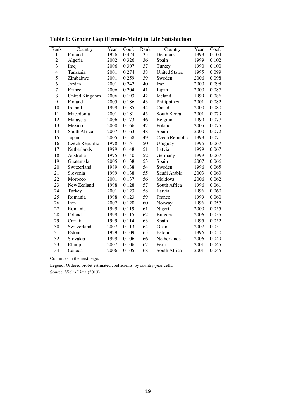| Rank           | Country               | Year | Coef. | Rank | Country              | Year | Coef. |
|----------------|-----------------------|------|-------|------|----------------------|------|-------|
| 1              | Finland               | 1996 | 0.424 | 35   | Denmark              | 1999 | 0.104 |
| $\overline{c}$ | Algeria               | 2002 | 0.326 | 36   | Spain                | 1999 | 0.102 |
| $\overline{3}$ | Iraq                  | 2006 | 0.307 | 37   | Turkey               | 1990 | 0.100 |
| $\overline{4}$ | Tanzania              | 2001 | 0.274 | 38   | <b>United States</b> | 1995 | 0.099 |
| 5              | Zimbabwe              | 2001 | 0.259 | 39   | Sweden               | 2006 | 0.098 |
| 6              | Jordan                | 2001 | 0.242 | 40   | Iran                 | 2000 | 0.098 |
| $\overline{7}$ | France                | 2006 | 0.204 | 41   | Japan                | 2000 | 0.087 |
| 8              | <b>United Kingdom</b> | 2006 | 0.193 | 42   | Iceland              | 1999 | 0.086 |
| 9              | Finland               | 2005 | 0.186 | 43   | Philippines          | 2001 | 0.082 |
| 10             | Ireland               | 1999 | 0.185 | 44   | Canada               | 2000 | 0.080 |
| 11             | Macedonia             | 2001 | 0.181 | 45   | South Korea          | 2001 | 0.079 |
| 12             | Malaysia              | 2006 | 0.173 | 46   | Belgium              | 1999 | 0.077 |
| 13             | Mexico                | 2000 | 0.166 | 47   | Poland               | 2005 | 0.075 |
| 14             | South Africa          | 2007 | 0.163 | 48   | Spain                | 2000 | 0.072 |
| 15             | Japan                 | 2005 | 0.158 | 49   | Czech Republic       | 1999 | 0.071 |
| 16             | Czech Republic        | 1998 | 0.151 | 50   | Uruguay              | 1996 | 0.067 |
| 17             | Netherlands           | 1999 | 0.148 | 51   | Latvia               | 1999 | 0.067 |
| 18             | Australia             | 1995 | 0.140 | 52   | Germany              | 1999 | 0.067 |
| 19             | Guatemala             | 2005 | 0.138 | 53   | Spain                | 2007 | 0.066 |
| 20             | Switzerland           | 1989 | 0.138 | 54   | Sweden               | 1996 | 0.065 |
| 21             | Slovenia              | 1999 | 0.138 | 55   | Saudi Arabia         | 2003 | 0.063 |
| 22             | Morocco               | 2001 | 0.137 | 56   | Moldova              | 2006 | 0.062 |
| 23             | New Zealand           | 1998 | 0.128 | 57   | South Africa         | 1996 | 0.061 |
| 24             | Turkey                | 2001 | 0.123 | 58   | Latvia               | 1996 | 0.060 |
| 25             | Romania               | 1998 | 0.123 | 59   | France               | 1999 | 0.060 |
| 26             | Iran                  | 2007 | 0.120 | 60   | Norway               | 1996 | 0.057 |
| 27             | Romania               | 1999 | 0.119 | 61   | Nigeria              | 2000 | 0.055 |
| 28             | Poland                | 1999 | 0.115 | 62   | Bulgaria             | 2006 | 0.055 |
| 29             | Croatia               | 1999 | 0.114 | 63   | Spain                | 1995 | 0.052 |
| 30             | Switzerland           | 2007 | 0.113 | 64   | Ghana                | 2007 | 0.051 |
| 31             | Estonia               | 1999 | 0.109 | 65   | Estonia              | 1996 | 0.050 |
| 32             | Slovakia              | 1999 | 0.106 | 66   | Netherlands          | 2006 | 0.049 |
| 33             | Ethiopia              | 2007 | 0.106 | 67   | Peru                 | 2001 | 0.045 |
| 34             | Canada                | 2006 | 0.105 | 68   | South Africa         | 2001 | 0.045 |

**Table 1: Gender Gap (Female-Male) in Life Satisfaction** 

Continues in the next page.

Legend: Ordered probit estimated coefficients, by country-year cells.

Source: Vieira Lima (2013)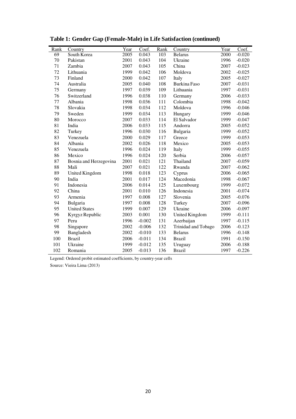| Rank | Country                | Year | Coef.    | Rank | Country               | Year | Coef.    |
|------|------------------------|------|----------|------|-----------------------|------|----------|
| 69   | South Korea            | 2005 | 0.043    | 103  | <b>Belarus</b>        | 2000 | $-0.020$ |
| 70   | Pakistan               | 2001 | 0.043    | 104  | Ukraine               | 1996 | $-0.020$ |
| 71   | Zambia                 | 2007 | 0.043    | 105  | China                 | 2007 | $-0.023$ |
| 72   | Lithuania              | 1999 | 0.042    | 106  | Moldova               | 2002 | $-0.025$ |
| 73   | Finland                | 2000 | 0.042    | 107  | Italy                 | 2005 | $-0.027$ |
| 74   | Australia              | 2005 | 0.040    | 108  | <b>Burkina Faso</b>   | 2007 | $-0.031$ |
| 75   | Germany                | 1997 | 0.039    | 109  | Lithuania             | 1997 | $-0.031$ |
| 76   | Switzerland            | 1996 | 0.038    | 110  | Germany               | 2006 | $-0.033$ |
| 77   | Albania                | 1998 | 0.036    | 111  | Colombia              | 1998 | $-0.042$ |
| 78   | Slovakia               | 1998 | 0.034    | 112  | Moldova               | 1996 | $-0.046$ |
| 79   | Sweden                 | 1999 | 0.034    | 113  | Hungary               | 1999 | $-0.046$ |
| 80   | Morocco                | 2007 | 0.033    | 114  | El Salvador           | 1999 | $-0.047$ |
| 81   | India                  | 2006 | 0.033    | 115  | Andorra               | 2005 | $-0.052$ |
| 82   | Turkey                 | 1996 | 0.030    | 116  | Bulgaria              | 1999 | $-0.052$ |
| 83   | Venezuela              | 2000 | 0.029    | 117  | Greece                | 1999 | $-0.053$ |
| 84   | Albania                | 2002 | 0.026    | 118  | Mexico                | 2005 | $-0.053$ |
| 85   | Venezuela              | 1996 | 0.024    | 119  | Italy                 | 1999 | $-0.055$ |
| 86   | Mexico                 | 1996 | 0.024    | 120  | Serbia                | 2006 | $-0.057$ |
| 87   | Bosnia and Herzegovina | 2001 | 0.021    | 121  | Thailand              | 2007 | $-0.059$ |
| 88   | Mali                   | 2007 | 0.021    | 122  | Rwanda                | 2007 | $-0.062$ |
| 89   | United Kingdom         | 1998 | 0.018    | 123  | Cyprus                | 2006 | $-0.065$ |
| 90   | India                  | 2001 | 0.017    | 124  | Macedonia             | 1998 | $-0.067$ |
| 91   | Indonesia              | 2006 | 0.014    | 125  | Luxembourg            | 1999 | $-0.072$ |
| 92   | China                  | 2001 | 0.010    | 126  | Indonesia             | 2001 | $-0.074$ |
| 93   | Armenia                | 1997 | 0.008    | 127  | Slovenia              | 2005 | $-0.076$ |
| 94   | Bulgaria               | 1997 | 0.008    | 128  | Turkey                | 2007 | $-0.096$ |
| 95   | <b>United States</b>   | 1999 | 0.007    | 129  | Ukraine               | 2006 | $-0.097$ |
| 96   | Kyrgyz Republic        | 2003 | 0.001    | 130  | <b>United Kingdom</b> | 1999 | $-0.111$ |
| 97   | Peru                   | 1996 | $-0.002$ | 131  | Azerbaijan            | 1997 | $-0.115$ |
| 98   | Singapore              | 2002 | $-0.006$ | 132  | Trinidad and Tobago   | 2006 | $-0.123$ |
| 99   | Bangladesh             | 2002 | $-0.010$ | 133  | <b>Belarus</b>        | 1996 | $-0.148$ |
| 100  | <b>Brazil</b>          | 2006 | $-0.011$ | 134  | <b>Brazil</b>         | 1991 | $-0.150$ |
| 101  | Ukraine                | 1999 | $-0.012$ | 135  | Uruguay               | 2006 | $-0.188$ |
| 102  | Romania                | 2005 | $-0.013$ | 136  | <b>Brazil</b>         | 1997 | $-0.226$ |

**Table 1: Gender Gap (Female-Male) in Life Satisfaction (continued)** 

Legend: Ordered probit estimated coefficients, by country-year cells

Source: Vieira Lima (2013)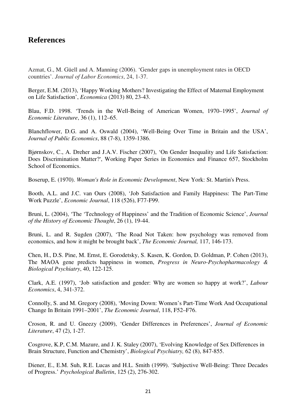# **References**

Azmat, G., M. Güell and A. Manning (2006). 'Gender gaps in unemployment rates in OECD countries'. *Journal of Labor Economics*, 24, 1-37.

Berger, E.M. (2013), 'Happy Working Mothers? Investigating the Effect of Maternal Employment on Life Satisfaction', *Economica* (2013) 80, 23-43.

Blau, F.D. 1998. 'Trends in the Well-Being of American Women, 1970–1995', *Journal of Economic Literature*, 36 (1), 112–65.

Blanchflower, D.G. and A. Oswald (2004), 'Well-Being Over Time in Britain and the USA', *Journal of Public Economics*, 88 (7-8), 1359-1386.

Bjørnskov, C., A. Dreher and J.A.V. Fischer (2007), 'On Gender Inequality and Life Satisfaction: Does Discrimination Matter?', Working Paper Series in Economics and Finance 657, Stockholm School of Economics.

Boserup, E. (1970). *Woman's Role in Economic Development*, New York: St. Martin's Press.

Booth, A.L. and J.C. van Ours (2008), 'Job Satisfaction and Family Happiness: The Part-Time Work Puzzle', *Economic Journal*, 118 (526), F77-F99.

Bruni, L. (2004), 'The 'Technology of Happiness' and the Tradition of Economic Science', *Journal of the History of Economic Thought*, 26 (1), 19-44.

Bruni, L. and R. Sugden (2007), 'The Road Not Taken: how psychology was removed from economics, and how it might be brought back', *The Economic Journal,* 117, 146-173.

Chen, H., D.S. Pine, M. Ernst, E. Gorodetsky, S. Kasen, K. Gordon, D. Goldman, P. Cohen (2013), The MAOA gene predicts happiness in women, *Progress in Neuro-Psychopharmacology & Biological Psychiatry*, 40, 122-125.

Clark, A.E. (1997), 'Job satisfaction and gender: Why are women so happy at work?', *Labour Economics*, 4, 341-372.

Connolly, S. and M. Gregory (2008), 'Moving Down: Women's Part-Time Work And Occupational Change In Britain 1991–2001', *The Economic Journal*, 118, F52–F76.

Croson, R. and U. Gneezy (2009), 'Gender Differences in Preferences', *Journal of Economic Literature*, 47 (2), 1-27.

Cosgrove, K.P, C.M. Mazure, and J. K. Staley (2007), 'Evolving Knowledge of Sex Differences in Brain Structure, Function and Chemistry', *Biological Psychiatry,* 62 (8), 847-855.

Diener, E., E.M. Suh, R.E. Lucas and H.L. Smith (1999). 'Subjective Well-Being: Three Decades of Progress.' *Psychological Bulletin*, 125 (2), 276-302.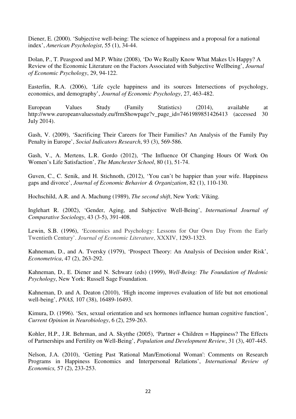Diener, E. (2000). 'Subjective well-being: The science of happiness and a proposal for a national index', *American Psychologist*, 55 (1), 34-44.

Dolan, P., T. Peasgood and M.P. White (2008), 'Do We Really Know What Makes Us Happy? A Review of the Economic Literature on the Factors Associated with Subjective Wellbeing', *Journal of Economic Psychology*, 29, 94-122.

Easterlin, R.A. (2006), 'Life cycle happiness and its sources Intersections of psychology, economics, and demography', *Journal of Economic Psychology*, 27, 463-482.

European Values Study (Family Statistics) (2014), available at http://www.europeanvaluesstudy.eu/frmShowpage?v\_page\_id=7461989851426413 (accessed 30 July 2014).

Gash, V. (2009), 'Sacrificing Their Careers for Their Families? An Analysis of the Family Pay Penalty in Europe', *Social Indicators Research*, 93 (3), 569-586.

Gash, V., A. Mertens, L.R. Gordo (2012), 'The Influence Of Changing Hours Of Work On Women's Life Satisfaction', *The Manchester School*, 80 (1), 51-74.

Guven, C., C. Senik, and H. Stichnoth, (2012), 'You can't be happier than your wife. Happiness gaps and divorce', *Journal of Economic Behavior & Organization*, 82 (1), 110-130.

Hochschild, A.R. and A. Machung (1989), *The second shift*, New York: Viking.

Inglehart R. (2002), 'Gender, Aging, and Subjective Well-Being', *International Journal of Comparative Sociology*, 43 (3-5), 391-408.

Lewin, S.B. (1996), 'Economics and Psychology: Lessons for Our Own Day From the Early Twentieth Century'. *Journal of Economic Literature*, XXXIV, 1293-1323.

Kahneman, D., and A. Tversky (1979), 'Prospect Theory: An Analysis of Decision under Risk', *Econometrica*, 47 (2), 263-292.

Kahneman, D., E. Diener and N. Schwarz (eds) (1999), *Well-Being: The Foundation of Hedonic Psychology*, New York: Russell Sage Foundation.

Kahneman, D. and A. Deaton (2010), 'High income improves evaluation of life but not emotional well-being', *PNAS,* 107 (38), 16489-16493.

Kimura, D. (1996). 'Sex, sexual orientation and sex hormones influence human cognitive function', *Current Opinion in Neurobiology*, 6 (2), 259-263.

Kohler, H.P., J.R. Behrman, and A. Skytthe (2005), 'Partner + Children = Happiness? The Effects of Partnerships and Fertility on Well-Being', *Population and Development Review*, 31 (3), 407-445.

Nelson, J.A. (2010), 'Getting Past 'Rational Man/Emotional Woman': Comments on Research Programs in Happiness Economics and Interpersonal Relations', *International Review of Economics,* 57 (2), 233-253.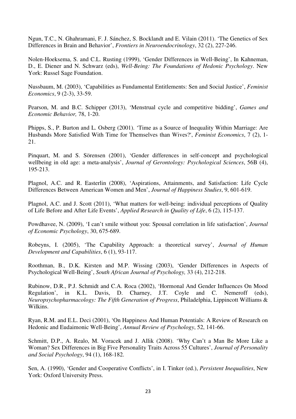Ngun, T.C., N. Ghahramani, F. J. Sánchez, S. Bocklandt and E. Vilain (2011). 'The Genetics of Sex Differences in Brain and Behavior', *Frontiers in Neuroendocrinology*, 32 (2), 227-246.

Nolen-Hoeksema, S. and C.L. Rusting (1999), 'Gender Differences in Well-Being', In Kahneman, D., E. Diener and N. Schwarz (eds), *Well-Being: The Foundations of Hedonic Psychology*. New York: Russel Sage Foundation.

Nussbaum, M. (2003), 'Capabilities as Fundamental Entitlements: Sen and Social Justice', *Feminist Economics*, 9 (2-3), 33-59.

Pearson, M. and B.C. Schipper (2013), 'Menstrual cycle and competitive bidding', *Games and Economic Behavior,* 78, 1-20.

Phipps, S., P. Burton and L. Osberg (2001). 'Time as a Source of Inequality Within Marriage: Are Husbands More Satisfied With Time for Themselves than Wives?', *Feminist Economics*, 7 (2), 1- 21.

Pinquart, M. and S. Sörensen (2001), 'Gender differences in self-concept and psychological wellbeing in old age: a meta-analysis', *Journal of Gerontology: Psychological Sciences*, 56B (4), 195-213.

Plagnol, A.C. and R. Easterlin (2008), 'Aspirations, Attainments, and Satisfaction: Life Cycle Differences Between American Women and Men', *Journal of Happiness Studies*, 9, 601-619.

Plagnol, A.C. and J. Scott (2011), 'What matters for well-being: individual perceptions of Quality of Life Before and After Life Events', *Applied Research in Quality of Life*, 6 (2), 115-137.

Powdhavee, N. (2009), 'I can't smile without you: Spousal correlation in life satisfaction', *Journal of Economic Psychology*, 30, 675-689.

Robeyns, I. (2005), 'The Capability Approach: a theoretical survey', *Journal of Human Development and Capabilities*, 6 (1), 93-117.

Roothman, B., D.K. Kirsten and M.P. Wissing (2003), 'Gender Differences in Aspects of Psychological Well-Being', *South African Journal of Psychology,* 33 (4), 212-218.

Rubinow, D.R., P.J. Schmidt and C.A. Roca (2002), 'Hormonal And Gender Influences On Mood Regulation', in K.L. Davis, D. Charney, J.T. Coyle and C. Nemeroff (eds), *Neuropsychopharmacology: The Fifth Generation of Progress*, Philadelphia, Lippincott Williams & Wilkins.

Ryan, R.M. and E.L. Deci (2001), 'On Happiness And Human Potentials: A Review of Research on Hedonic and Eudaimonic Well-Being', *Annual Review of Psychology*, 52, 141-66.

Schmitt, D.P., A. Realo, M. Voracek and J. Allik (2008). 'Why Can't a Man Be More Like a Woman? Sex Differences in Big Five Personality Traits Across 55 Cultures', *Journal of Personality and Social Psychology*, 94 (1), 168-182.

Sen, A. (1990), 'Gender and Cooperative Conflicts', in I. Tinker (ed.), *Persistent Inequalities*, New York: Oxford University Press.